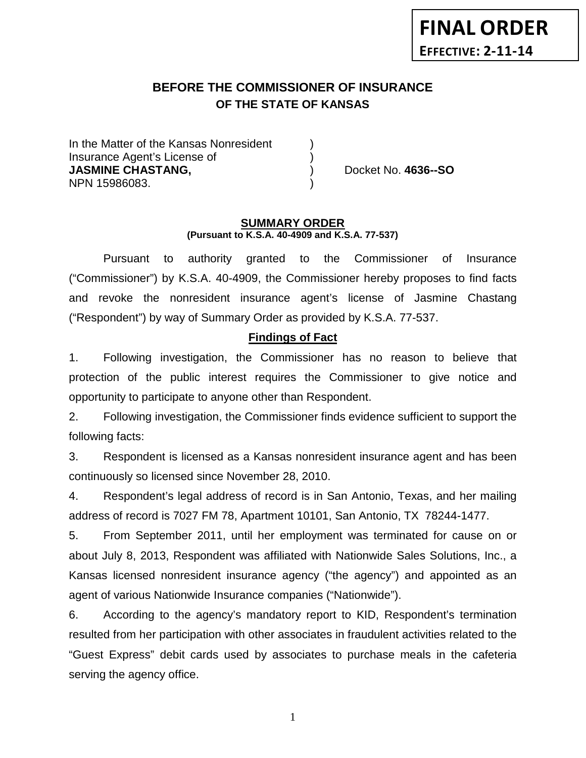# **BEFORE THE COMMISSIONER OF INSURANCE OF THE STATE OF KANSAS**

In the Matter of the Kansas Nonresident Insurance Agent's License of ) **JASMINE CHASTANG,** ) Docket No. **4636--SO** NPN 15986083. )

#### **SUMMARY ORDER (Pursuant to K.S.A. 40-4909 and K.S.A. 77-537)**

Pursuant to authority granted to the Commissioner of Insurance ("Commissioner") by K.S.A. 40-4909, the Commissioner hereby proposes to find facts and revoke the nonresident insurance agent's license of Jasmine Chastang ("Respondent") by way of Summary Order as provided by K.S.A. 77-537.

## **Findings of Fact**

1. Following investigation, the Commissioner has no reason to believe that protection of the public interest requires the Commissioner to give notice and opportunity to participate to anyone other than Respondent.

2. Following investigation, the Commissioner finds evidence sufficient to support the following facts:

3. Respondent is licensed as a Kansas nonresident insurance agent and has been continuously so licensed since November 28, 2010.

4. Respondent's legal address of record is in San Antonio, Texas, and her mailing address of record is 7027 FM 78, Apartment 10101, San Antonio, TX 78244-1477.

5. From September 2011, until her employment was terminated for cause on or about July 8, 2013, Respondent was affiliated with Nationwide Sales Solutions, Inc., a Kansas licensed nonresident insurance agency ("the agency") and appointed as an agent of various Nationwide Insurance companies ("Nationwide").

6. According to the agency's mandatory report to KID, Respondent's termination resulted from her participation with other associates in fraudulent activities related to the "Guest Express" debit cards used by associates to purchase meals in the cafeteria serving the agency office.

1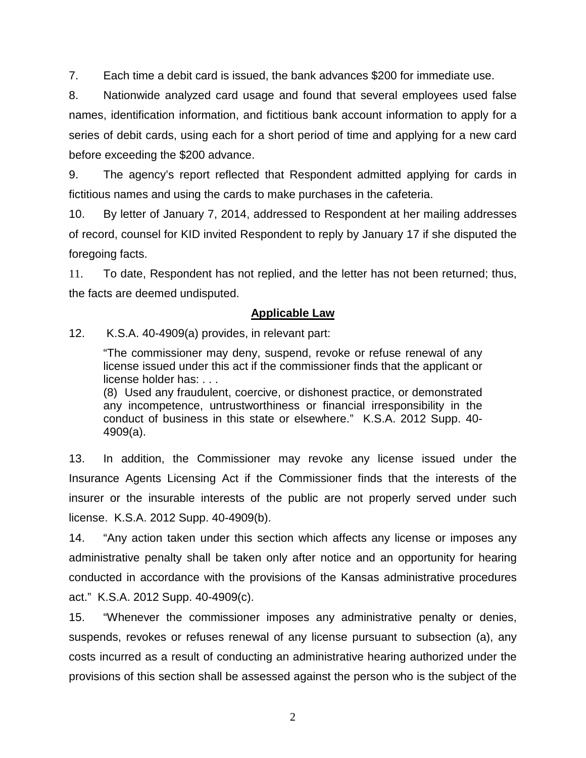7. Each time a debit card is issued, the bank advances \$200 for immediate use.

8. Nationwide analyzed card usage and found that several employees used false names, identification information, and fictitious bank account information to apply for a series of debit cards, using each for a short period of time and applying for a new card before exceeding the \$200 advance.

9. The agency's report reflected that Respondent admitted applying for cards in fictitious names and using the cards to make purchases in the cafeteria.

10. By letter of January 7, 2014, addressed to Respondent at her mailing addresses of record, counsel for KID invited Respondent to reply by January 17 if she disputed the foregoing facts.

11. To date, Respondent has not replied, and the letter has not been returned; thus, the facts are deemed undisputed.

# **Applicable Law**

12. K.S.A. 40-4909(a) provides, in relevant part:

"The commissioner may deny, suspend, revoke or refuse renewal of any license issued under this act if the commissioner finds that the applicant or license holder has: . . .

(8) Used any fraudulent, coercive, or dishonest practice, or demonstrated any incompetence, untrustworthiness or financial irresponsibility in the conduct of business in this state or elsewhere." K.S.A. 2012 Supp. 40- 4909(a).

13. In addition, the Commissioner may revoke any license issued under the Insurance Agents Licensing Act if the Commissioner finds that the interests of the insurer or the insurable interests of the public are not properly served under such license. K.S.A. 2012 Supp. 40-4909(b).

14. "Any action taken under this section which affects any license or imposes any administrative penalty shall be taken only after notice and an opportunity for hearing conducted in accordance with the provisions of the Kansas administrative procedures act." K.S.A. 2012 Supp. 40-4909(c).

15. "Whenever the commissioner imposes any administrative penalty or denies, suspends, revokes or refuses renewal of any license pursuant to subsection (a), any costs incurred as a result of conducting an administrative hearing authorized under the provisions of this section shall be assessed against the person who is the subject of the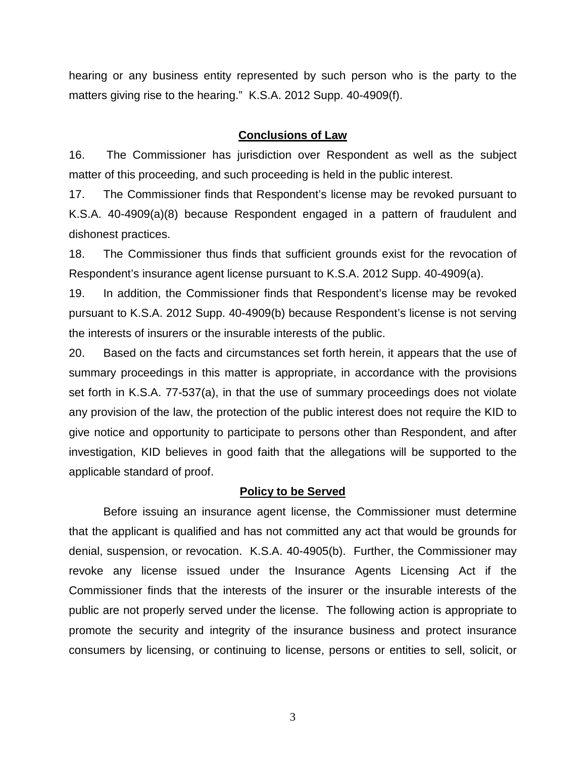hearing or any business entity represented by such person who is the party to the matters giving rise to the hearing." K.S.A. 2012 Supp. 40-4909(f).

#### **Conclusions of Law**

16. The Commissioner has jurisdiction over Respondent as well as the subject matter of this proceeding, and such proceeding is held in the public interest.

17. The Commissioner finds that Respondent's license may be revoked pursuant to K.S.A. 40-4909(a)(8) because Respondent engaged in a pattern of fraudulent and dishonest practices.

18. The Commissioner thus finds that sufficient grounds exist for the revocation of Respondent's insurance agent license pursuant to K.S.A. 2012 Supp. 40-4909(a).

19. In addition, the Commissioner finds that Respondent's license may be revoked pursuant to K.S.A. 2012 Supp. 40-4909(b) because Respondent's license is not serving the interests of insurers or the insurable interests of the public.

20. Based on the facts and circumstances set forth herein, it appears that the use of summary proceedings in this matter is appropriate, in accordance with the provisions set forth in K.S.A. 77-537(a), in that the use of summary proceedings does not violate any provision of the law, the protection of the public interest does not require the KID to give notice and opportunity to participate to persons other than Respondent, and after investigation, KID believes in good faith that the allegations will be supported to the applicable standard of proof.

### **Policy to be Served**

Before issuing an insurance agent license, the Commissioner must determine that the applicant is qualified and has not committed any act that would be grounds for denial, suspension, or revocation. K.S.A. 40-4905(b). Further, the Commissioner may revoke any license issued under the Insurance Agents Licensing Act if the Commissioner finds that the interests of the insurer or the insurable interests of the public are not properly served under the license. The following action is appropriate to promote the security and integrity of the insurance business and protect insurance consumers by licensing, or continuing to license, persons or entities to sell, solicit, or

3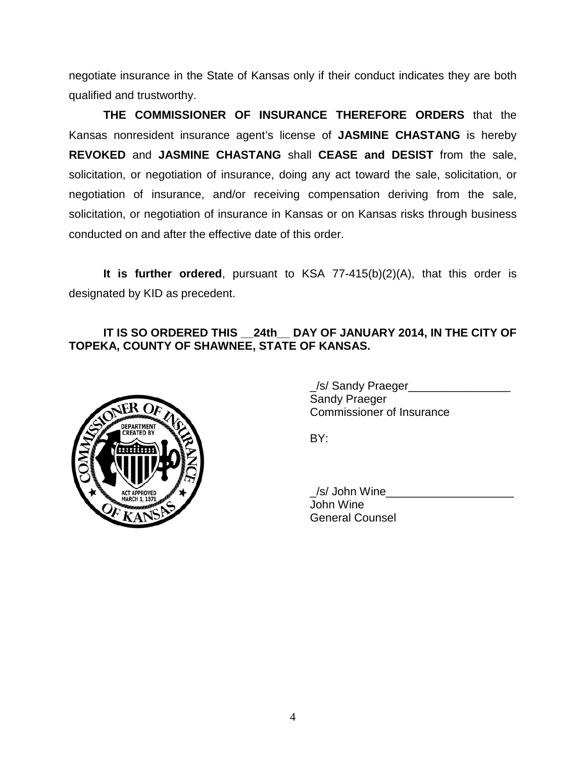negotiate insurance in the State of Kansas only if their conduct indicates they are both qualified and trustworthy.

**THE COMMISSIONER OF INSURANCE THEREFORE ORDERS** that the Kansas nonresident insurance agent's license of **JASMINE CHASTANG** is hereby **REVOKED** and **JASMINE CHASTANG** shall **CEASE and DESIST** from the sale, solicitation, or negotiation of insurance, doing any act toward the sale, solicitation, or negotiation of insurance, and/or receiving compensation deriving from the sale, solicitation, or negotiation of insurance in Kansas or on Kansas risks through business conducted on and after the effective date of this order.

**It is further ordered**, pursuant to KSA 77-415(b)(2)(A), that this order is designated by KID as precedent.

# **IT IS SO ORDERED THIS \_\_24th\_\_ DAY OF JANUARY 2014, IN THE CITY OF TOPEKA, COUNTY OF SHAWNEE, STATE OF KANSAS.**



/s/ Sandy Praeger Sandy Praeger Commissioner of Insurance

BY:

\_/s/ John Wine\_\_\_\_\_\_\_\_\_\_\_\_\_\_\_\_\_\_\_\_ John Wine General Counsel